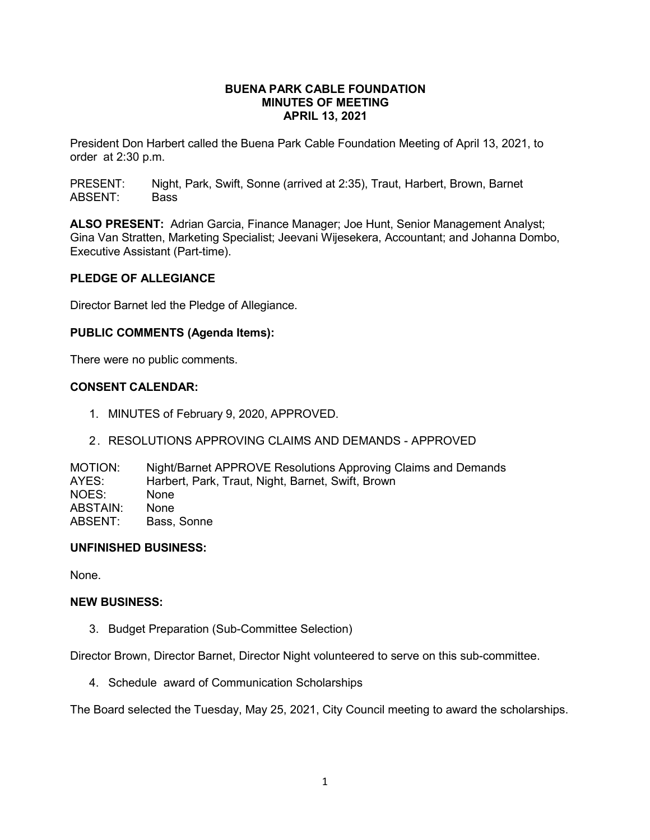### **BUENA PARK CABLE FOUNDATION MINUTES OF MEETING APRIL 13, 2021**

President Don Harbert called the Buena Park Cable Foundation Meeting of April 13, 2021, to order at 2:30 p.m.

PRESENT: Night, Park, Swift, Sonne (arrived at 2:35), Traut, Harbert, Brown, Barnet ABSENT: Bass

**ALSO PRESENT:** Adrian Garcia, Finance Manager; Joe Hunt, Senior Management Analyst; Gina Van Stratten, Marketing Specialist; Jeevani Wijesekera, Accountant; and Johanna Dombo, Executive Assistant (Part-time).

### **PLEDGE OF ALLEGIANCE**

Director Barnet led the Pledge of Allegiance.

### **PUBLIC COMMENTS (Agenda Items):**

There were no public comments.

### **CONSENT CALENDAR:**

- 1. MINUTES of February 9, 2020, APPROVED.
- 2. RESOLUTIONS APPROVING CLAIMS AND DEMANDS APPROVED

MOTION: Night/Barnet APPROVE Resolutions Approving Claims and Demands<br>AYES: Harbert, Park, Traut, Night, Barnet, Swift, Brown Harbert, Park, Traut, Night, Barnet, Swift, Brown NOES: None ABSTAIN: None<br>ABSENT: Bass. Bass, Sonne

#### **UNFINISHED BUSINESS:**

None.

### **NEW BUSINESS:**

3. Budget Preparation (Sub-Committee Selection)

Director Brown, Director Barnet, Director Night volunteered to serve on this sub-committee.

4. Schedule award of Communication Scholarships

The Board selected the Tuesday, May 25, 2021, City Council meeting to award the scholarships.